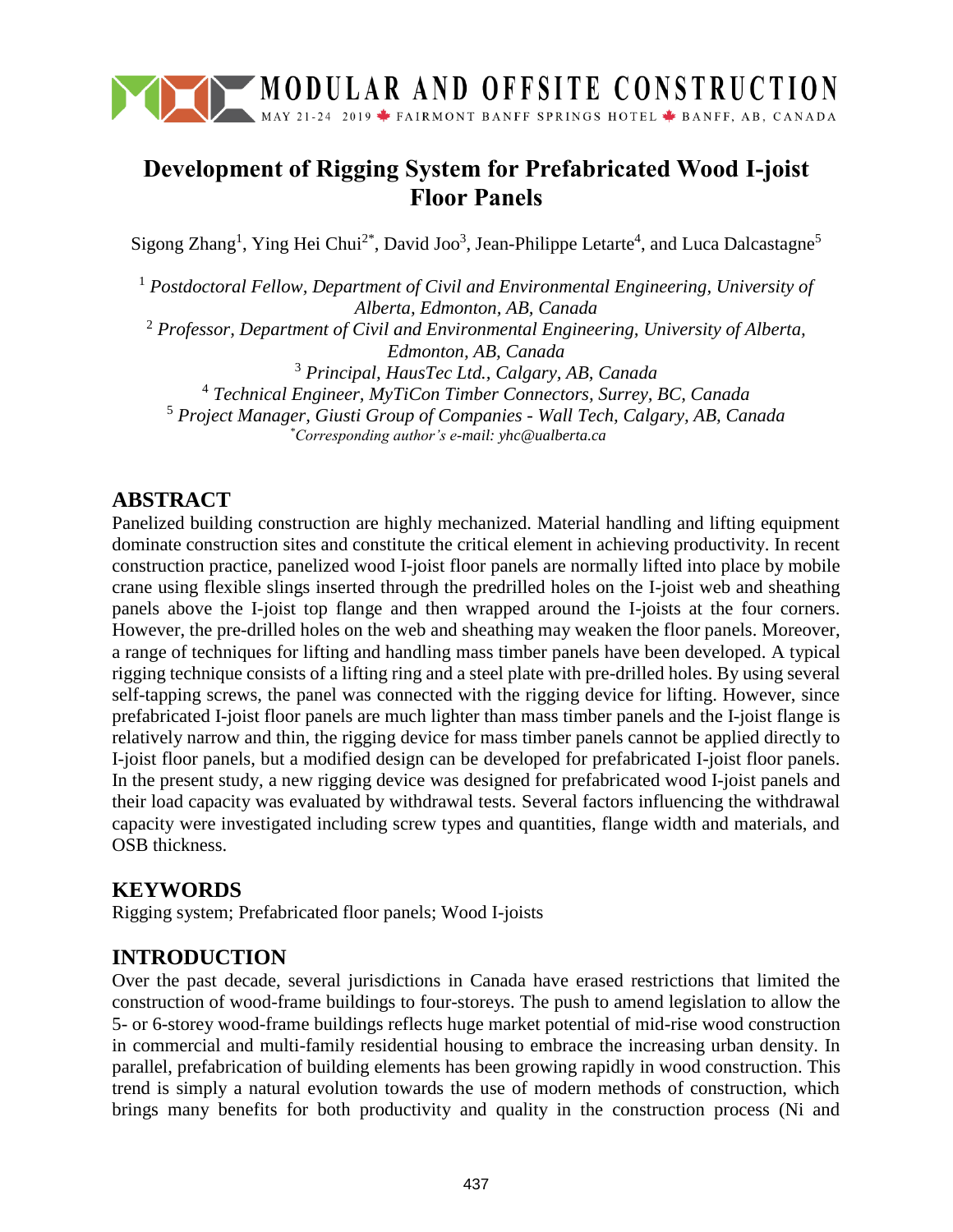

# **Development of Rigging System for Prefabricated Wood I-joist Floor Panels**

Sigong Zhang<sup>1</sup>, Ying Hei Chui<sup>2\*</sup>, David Joo<sup>3</sup>, Jean-Philippe Letarte<sup>4</sup>, and Luca Dalcastagne<sup>5</sup>

 *Postdoctoral Fellow, Department of Civil and Environmental Engineering, University of Alberta, Edmonton, AB, Canada Professor, Department of Civil and Environmental Engineering, University of Alberta, Edmonton, AB, Canada Principal, HausTec Ltd., Calgary, AB, Canada Technical Engineer, MyTiCon Timber Connectors, Surrey, BC, Canada Project Manager, Giusti Group of Companies - Wall Tech, Calgary, AB, Canada*

*\*Corresponding author's e-mail: yhc@ualberta.ca*

## **ABSTRACT**

Panelized building construction are highly mechanized. Material handling and lifting equipment dominate construction sites and constitute the critical element in achieving productivity. In recent construction practice, panelized wood I-joist floor panels are normally lifted into place by mobile crane using flexible slings inserted through the predrilled holes on the I-joist web and sheathing panels above the I-joist top flange and then wrapped around the I-joists at the four corners. However, the pre-drilled holes on the web and sheathing may weaken the floor panels. Moreover, a range of techniques for lifting and handling mass timber panels have been developed. A typical rigging technique consists of a lifting ring and a steel plate with pre-drilled holes. By using several self-tapping screws, the panel was connected with the rigging device for lifting. However, since prefabricated I-joist floor panels are much lighter than mass timber panels and the I-joist flange is relatively narrow and thin, the rigging device for mass timber panels cannot be applied directly to I-joist floor panels, but a modified design can be developed for prefabricated I-joist floor panels. In the present study, a new rigging device was designed for prefabricated wood I-joist panels and their load capacity was evaluated by withdrawal tests. Several factors influencing the withdrawal capacity were investigated including screw types and quantities, flange width and materials, and OSB thickness.

### **KEYWORDS**

Rigging system; Prefabricated floor panels; Wood I-joists

# **INTRODUCTION**

Over the past decade, several jurisdictions in Canada have erased restrictions that limited the construction of wood-frame buildings to four-storeys. The push to amend legislation to allow the 5- or 6-storey wood-frame buildings reflects huge market potential of mid-rise wood construction in commercial and multi-family residential housing to embrace the increasing urban density. In parallel, prefabrication of building elements has been growing rapidly in wood construction. This trend is simply a natural evolution towards the use of modern methods of construction, which brings many benefits for both productivity and quality in the construction process (Ni and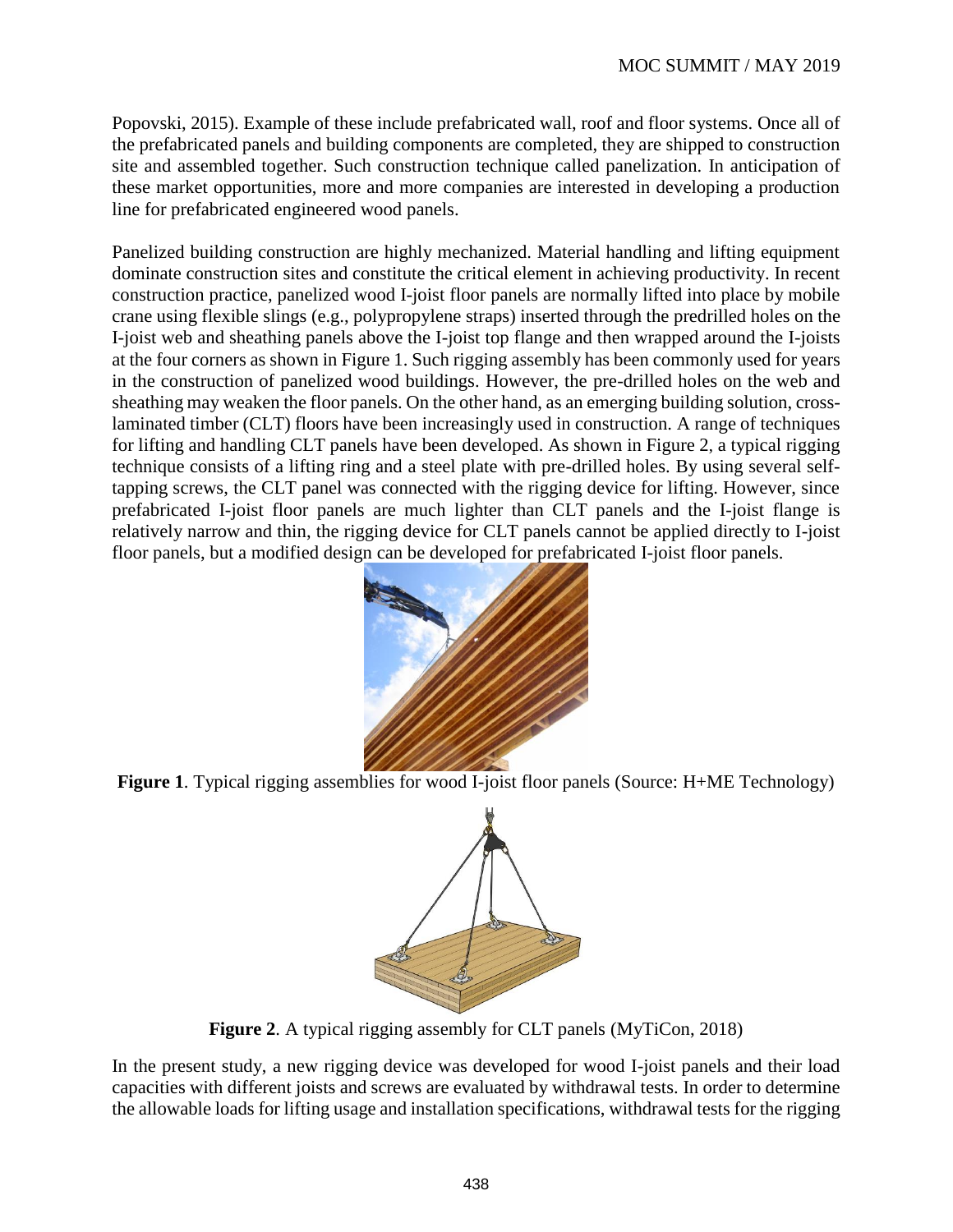Popovski, 2015). Example of these include prefabricated wall, roof and floor systems. Once all of the prefabricated panels and building components are completed, they are shipped to construction site and assembled together. Such construction technique called panelization. In anticipation of these market opportunities, more and more companies are interested in developing a production line for prefabricated engineered wood panels.

Panelized building construction are highly mechanized. Material handling and lifting equipment dominate construction sites and constitute the critical element in achieving productivity. In recent construction practice, panelized wood I-joist floor panels are normally lifted into place by mobile crane using flexible slings (e.g., polypropylene straps) inserted through the predrilled holes on the I-joist web and sheathing panels above the I-joist top flange and then wrapped around the I-joists at the four corners as shown in [Figure 1.](#page-1-0) Such rigging assembly has been commonly used for years in the construction of panelized wood buildings. However, the pre-drilled holes on the web and sheathing may weaken the floor panels. On the other hand, as an emerging building solution, crosslaminated timber (CLT) floors have been increasingly used in construction. A range of techniques for lifting and handling CLT panels have been developed. As shown in [Figure 2](#page-1-1), a typical rigging technique consists of a lifting ring and a steel plate with pre-drilled holes. By using several selftapping screws, the CLT panel was connected with the rigging device for lifting. However, since prefabricated I-joist floor panels are much lighter than CLT panels and the I-joist flange is relatively narrow and thin, the rigging device for CLT panels cannot be applied directly to I-joist floor panels, but a modified design can be developed for prefabricated I-joist floor panels.



<span id="page-1-0"></span>**Figure 1**. Typical rigging assemblies for wood I-joist floor panels (Source: H+ME Technology)



**Figure 2**. A typical rigging assembly for CLT panels (MyTiCon, 2018)

<span id="page-1-1"></span>In the present study, a new rigging device was developed for wood I-joist panels and their load capacities with different joists and screws are evaluated by withdrawal tests. In order to determine the allowable loads for lifting usage and installation specifications, withdrawal tests for the rigging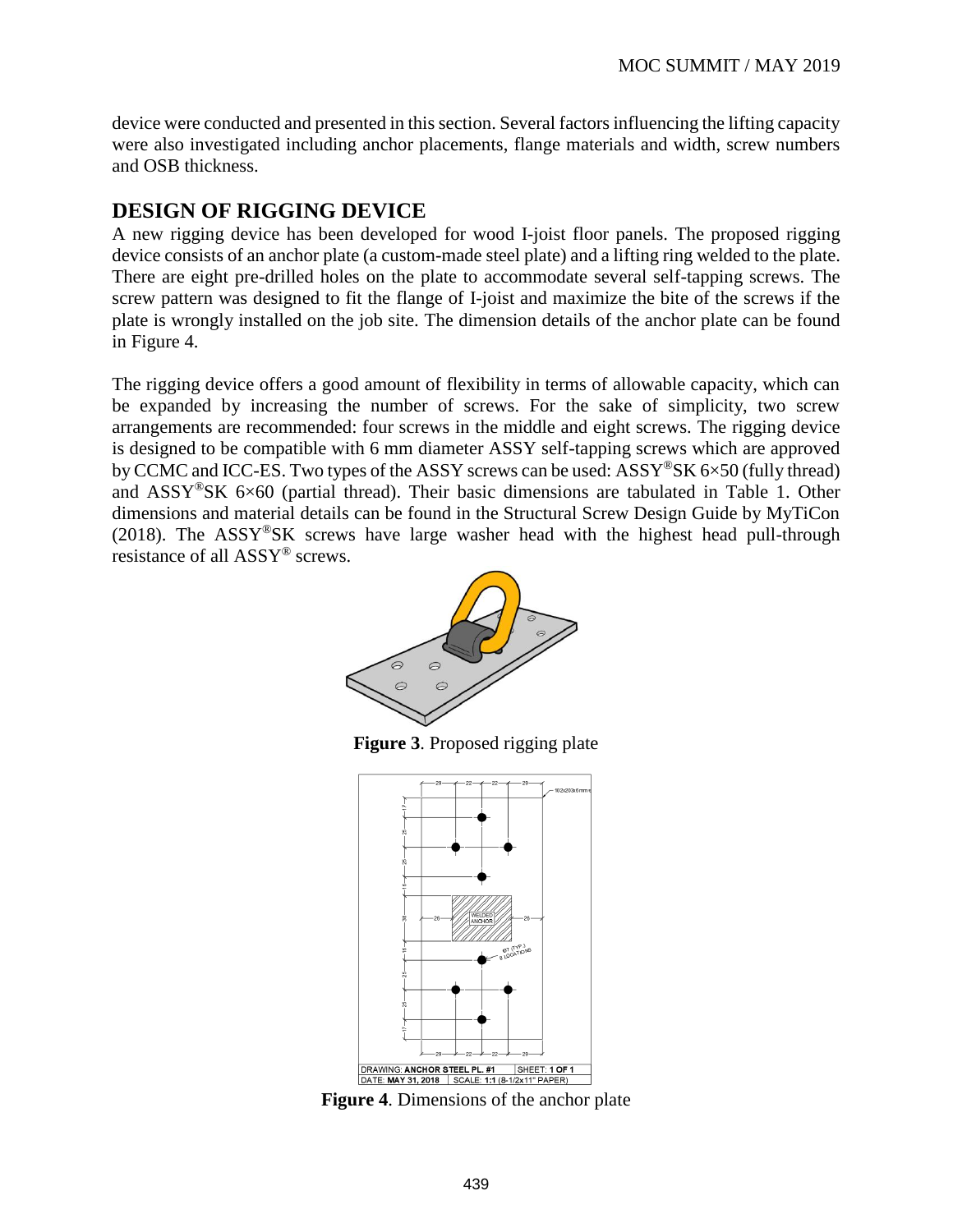device were conducted and presented in this section. Several factors influencing the lifting capacity were also investigated including anchor placements, flange materials and width, screw numbers and OSB thickness.

# **DESIGN OF RIGGING DEVICE**

A new rigging device has been developed for wood I-joist floor panels. The proposed rigging device consists of an anchor plate (a custom-made steel plate) and a lifting ring welded to the plate. There are eight pre-drilled holes on the plate to accommodate several self-tapping screws. The screw pattern was designed to fit the flange of I-joist and maximize the bite of the screws if the plate is wrongly installed on the job site. The dimension details of the anchor plate can be found in [Figure 4.](#page-2-0)

The rigging device offers a good amount of flexibility in terms of allowable capacity, which can be expanded by increasing the number of screws. For the sake of simplicity, two screw arrangements are recommended: four screws in the middle and eight screws. The rigging device is designed to be compatible with 6 mm diameter ASSY self-tapping screws which are approved by CCMC and ICC-ES. Two types of the ASSY screws can be used:  $ASSY^{\circ}SK 6\times50$  (fully thread) and  $ASSY^{\circ}\s$ K 6×60 (partial thread). Their basic dimensions are tabulated in [Table 1.](#page--1-0) Other dimensions and material details can be found in the Structural Screw Design Guide by MyTiCon (2018). The  $ASSY^{\circledast}SK$  screws have large washer head with the highest head pull-through resistance of all ASSY® screws.



**Figure 3**. Proposed rigging plate



<span id="page-2-0"></span>**Figure 4**. Dimensions of the anchor plate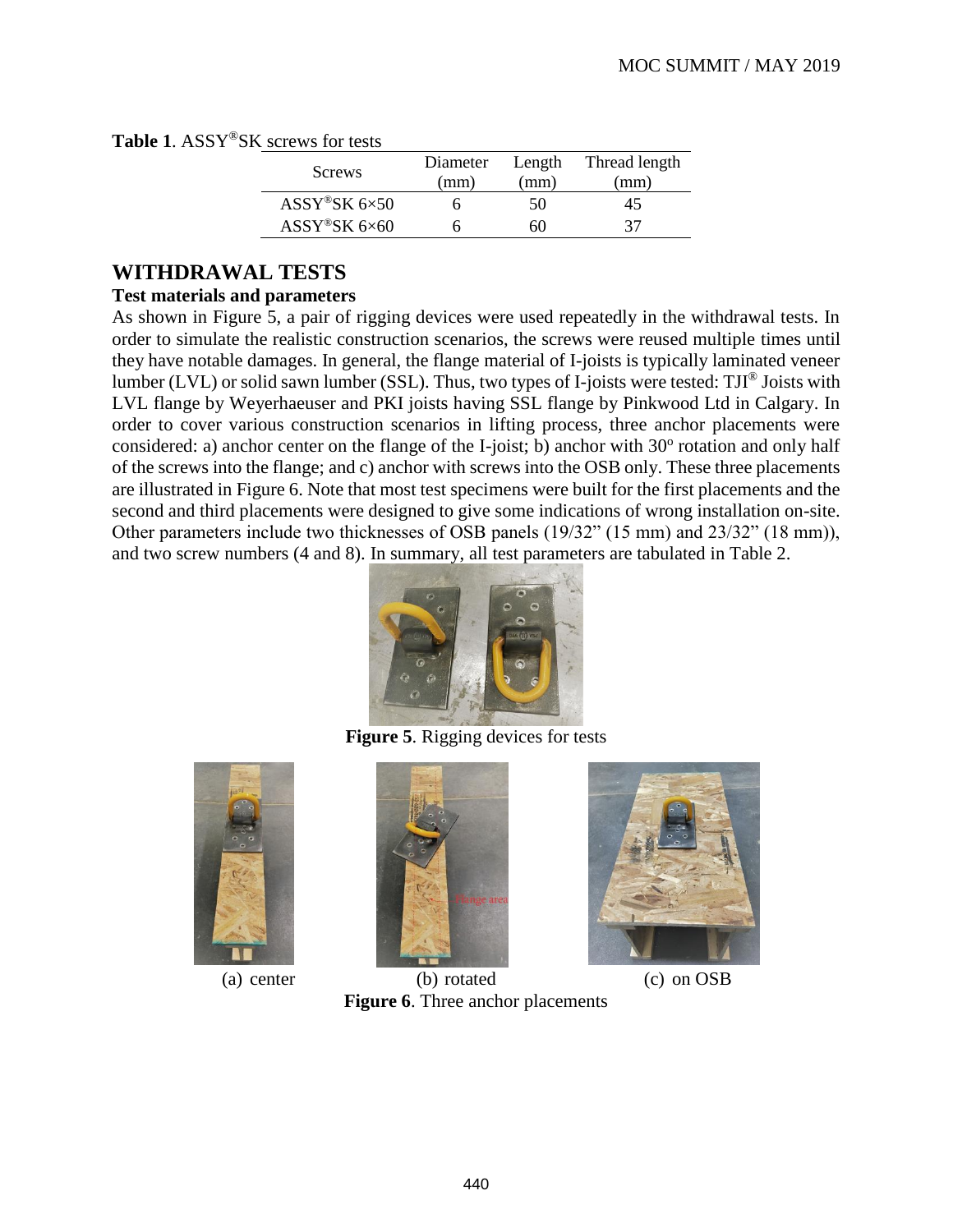|  | Table 1. ASSY®SK screws for tests |  |  |  |
|--|-----------------------------------|--|--|--|
|--|-----------------------------------|--|--|--|

| Screws                             | Diameter | Length | Thread length |
|------------------------------------|----------|--------|---------------|
|                                    | (mm)     | (mm    | (mm)          |
| $ASSY$ <sup>®</sup> SK $6\times50$ |          | 50     | 45            |
| $ASSY$ <sup>®</sup> SK 6×60        |          | 60     | 37            |

# **WITHDRAWAL TESTS**

#### **Test materials and parameters**

As shown in [Figure 5,](#page-3-0) a pair of rigging devices were used repeatedly in the withdrawal tests. In order to simulate the realistic construction scenarios, the screws were reused multiple times until they have notable damages. In general, the flange material of I-joists is typically laminated veneer lumber (LVL) or solid sawn lumber (SSL). Thus, two types of I-joists were tested: TJI® Joists with LVL flange by Weyerhaeuser and PKI joists having SSL flange by Pinkwood Ltd in Calgary. In order to cover various construction scenarios in lifting process, three anchor placements were considered: a) anchor center on the flange of the I-joist; b) anchor with 30° rotation and only half of the screws into the flange; and c) anchor with screws into the OSB only. These three placements are illustrated in [Figure 6.](#page-3-1) Note that most test specimens were built for the first placements and the second and third placements were designed to give some indications of wrong installation on-site. Other parameters include two thicknesses of OSB panels (19/32" (15 mm) and 23/32" (18 mm)), and two screw numbers (4 and 8). In summary, all test parameters are tabulated in [Table 2.](#page--1-1)



**Figure 5**. Rigging devices for tests

<span id="page-3-0"></span>





(a) center (b) rotated (c) on OSB

<span id="page-3-1"></span>**Figure 6**. Three anchor placements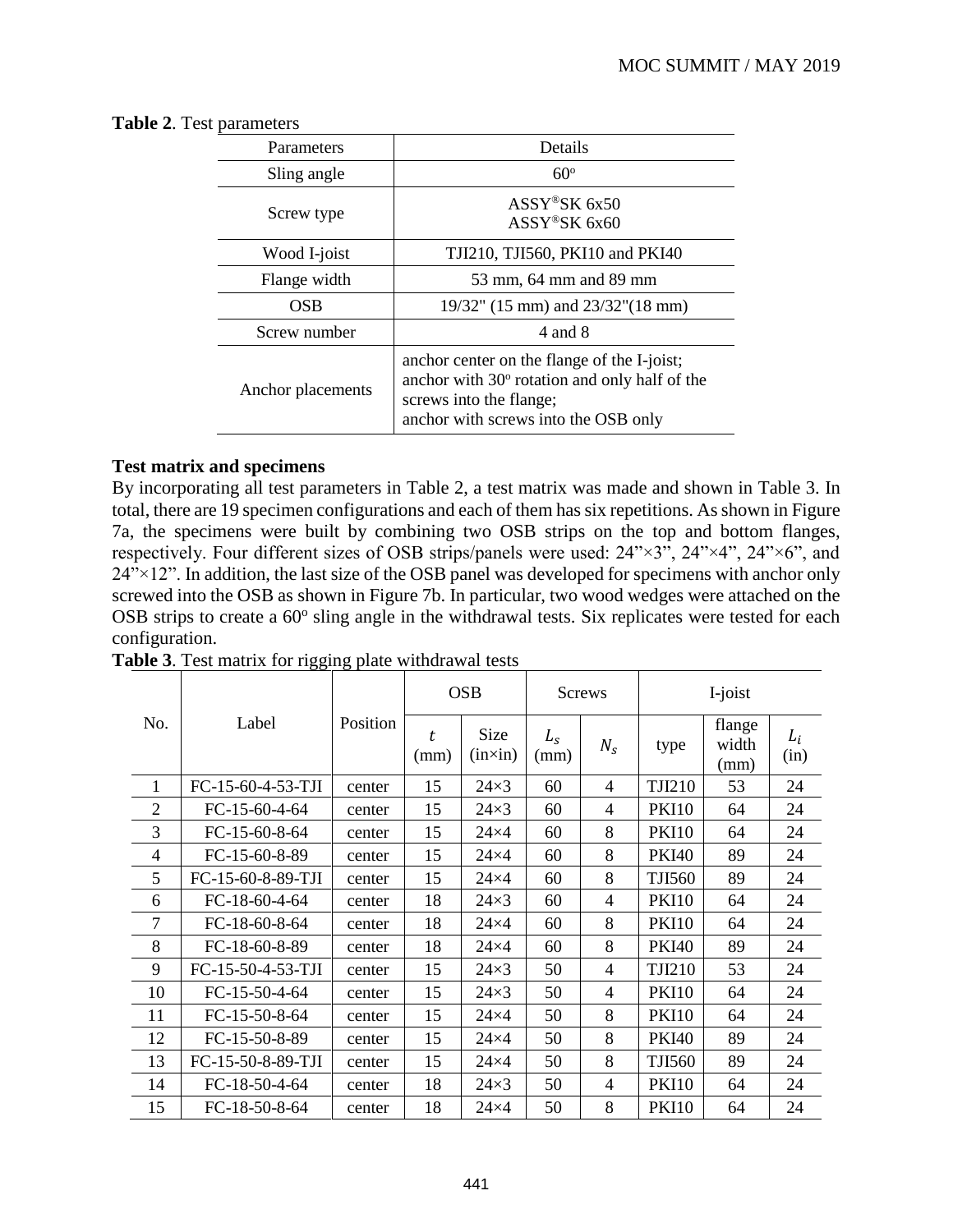<span id="page-4-0"></span>

| <b>Table 2.</b> Test parameters |  |
|---------------------------------|--|
|---------------------------------|--|

| Parameters        | Details                                                                                                                                                         |
|-------------------|-----------------------------------------------------------------------------------------------------------------------------------------------------------------|
| Sling angle       | $60^\circ$                                                                                                                                                      |
| Screw type        | ASSY®SK 6x50<br>$ASSY$ <sup>®</sup> SK 6x60                                                                                                                     |
| Wood I-joist      | TJI210, TJI560, PKI10 and PKI40                                                                                                                                 |
| Flange width      | 53 mm, 64 mm and 89 mm                                                                                                                                          |
| <b>OSB</b>        | 19/32" (15 mm) and 23/32" (18 mm)                                                                                                                               |
| Screw number      | 4 and 8                                                                                                                                                         |
| Anchor placements | anchor center on the flange of the I-joist;<br>anchor with 30° rotation and only half of the<br>screws into the flange;<br>anchor with screws into the OSB only |

#### **Test matrix and specimens**

By incorporating all test parameters in [Table 2,](#page-4-0) a test matrix was made and shown in [Table 3.](#page-4-1) In total, there are 19 specimen configurations and each of them has six repetitions. As shown i[n Figure](#page--1-2)  [7a](#page--1-2), the specimens were built by combining two OSB strips on the top and bottom flanges, respectively. Four different sizes of OSB strips/panels were used: 24"×3", 24"×4", 24"×6", and  $24''$  $\times$ 12". In addition, the last size of the OSB panel was developed for specimens with anchor only screwed into the OSB as shown in [Figure 7b](#page--1-2). In particular, two wood wedges were attached on the OSB strips to create a 60° sling angle in the withdrawal tests. Six replicates were tested for each configuration.

|                |                   |          |            | <b>OSB</b>      |                 | <b>Screws</b>  |               | I-joist                 |               |
|----------------|-------------------|----------|------------|-----------------|-----------------|----------------|---------------|-------------------------|---------------|
| No.            | Label             | Position | t.<br>(mm) | Size<br>(inxin) | $L_{S}$<br>(mm) | $N_{\rm s}$    | type          | flange<br>width<br>(mm) | $L_i$<br>(in) |
| 1              | FC-15-60-4-53-TJI | center   | 15         | $24\times3$     | 60              | $\overline{4}$ | <b>TJI210</b> | 53                      | 24            |
| $\overline{2}$ | FC-15-60-4-64     | center   | 15         | $24\times3$     | 60              | $\overline{4}$ | <b>PKI10</b>  | 64                      | 24            |
| 3              | FC-15-60-8-64     | center   | 15         | $24\times4$     | 60              | 8              | <b>PKI10</b>  | 64                      | 24            |
| $\overline{4}$ | FC-15-60-8-89     | center   | 15         | $24\times4$     | 60              | 8              | <b>PKI40</b>  | 89                      | 24            |
| 5              | FC-15-60-8-89-TJI | center   | 15         | $24\times4$     | 60              | 8              | <b>TJI560</b> | 89                      | 24            |
| 6              | FC-18-60-4-64     | center   | 18         | $24\times3$     | 60              | $\overline{4}$ | <b>PKI10</b>  | 64                      | 24            |
| 7              | FC-18-60-8-64     | center   | 18         | $24\times4$     | 60              | 8              | <b>PKI10</b>  | 64                      | 24            |
| 8              | FC-18-60-8-89     | center   | 18         | $24\times4$     | 60              | 8              | <b>PKI40</b>  | 89                      | 24            |
| 9              | FC-15-50-4-53-TJI | center   | 15         | $24\times3$     | 50              | 4              | <b>TJI210</b> | 53                      | 24            |
| 10             | FC-15-50-4-64     | center   | 15         | $24\times3$     | 50              | 4              | <b>PKI10</b>  | 64                      | 24            |
| 11             | FC-15-50-8-64     | center   | 15         | $24\times4$     | 50              | 8              | <b>PKI10</b>  | 64                      | 24            |
| 12             | FC-15-50-8-89     | center   | 15         | $24\times4$     | 50              | 8              | <b>PKI40</b>  | 89                      | 24            |
| 13             | FC-15-50-8-89-TJI | center   | 15         | $24\times4$     | 50              | 8              | <b>TJI560</b> | 89                      | 24            |
| 14             | FC-18-50-4-64     | center   | 18         | $24\times3$     | 50              | 4              | <b>PKI10</b>  | 64                      | 24            |
| 15             | FC-18-50-8-64     | center   | 18         | $24\times4$     | 50              | 8              | <b>PKI10</b>  | 64                      | 24            |

<span id="page-4-1"></span>**Table 3**. Test matrix for rigging plate withdrawal tests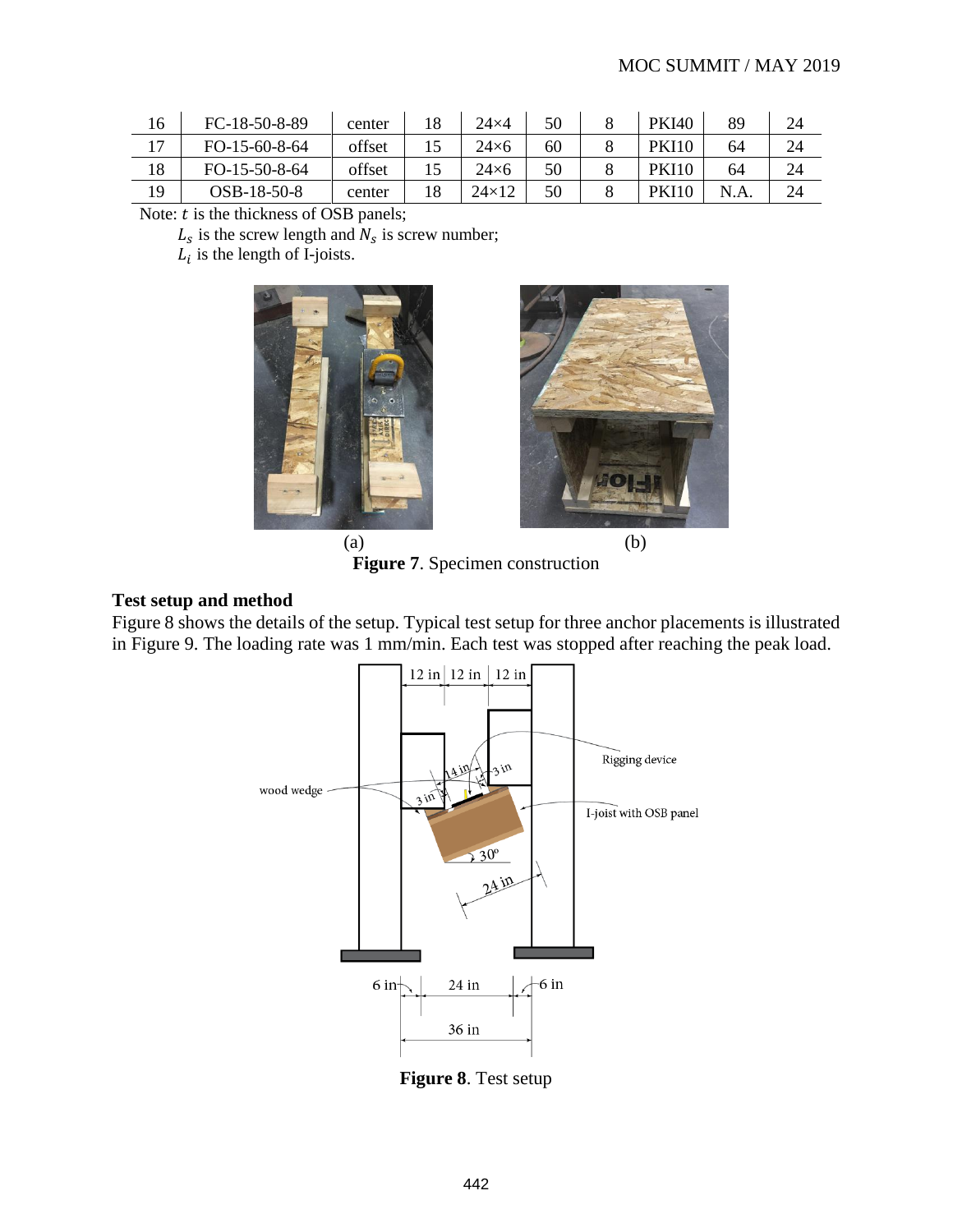| 16 | FC-18-50-8-89   | center | 18 | $24\times4$  | 50 | <b>PKI40</b> | 89  | 24 |
|----|-----------------|--------|----|--------------|----|--------------|-----|----|
| 17 | $FO-15-60-8-64$ | offset |    | $24\times 6$ | 60 | <b>PKI10</b> | 64  | 24 |
| 18 | $FO-15-50-8-64$ | offset |    | $24\times 6$ | 50 | <b>PKI10</b> | 64  | 24 |
| 19 | $OSB-18-50-8$   | center | 18 | $24\times12$ | 50 | <b>PKI10</b> | N.A | 24 |

Note:  $t$  is the thickness of OSB panels;

 $L_s$  is the screw length and  $N_s$  is screw number;

 $L_i$  is the length of I-joists.





 $(a)$  (b) **Figure 7**. Specimen construction

#### **Test setup and method**

[Figure 8](#page-5-0) shows the details of the setup. Typical test setup for three anchor placements is illustrated in [Figure](#page--1-3) 9. The loading rate was 1 mm/min. Each test was stopped after reaching the peak load.



<span id="page-5-0"></span>**Figure 8**. Test setup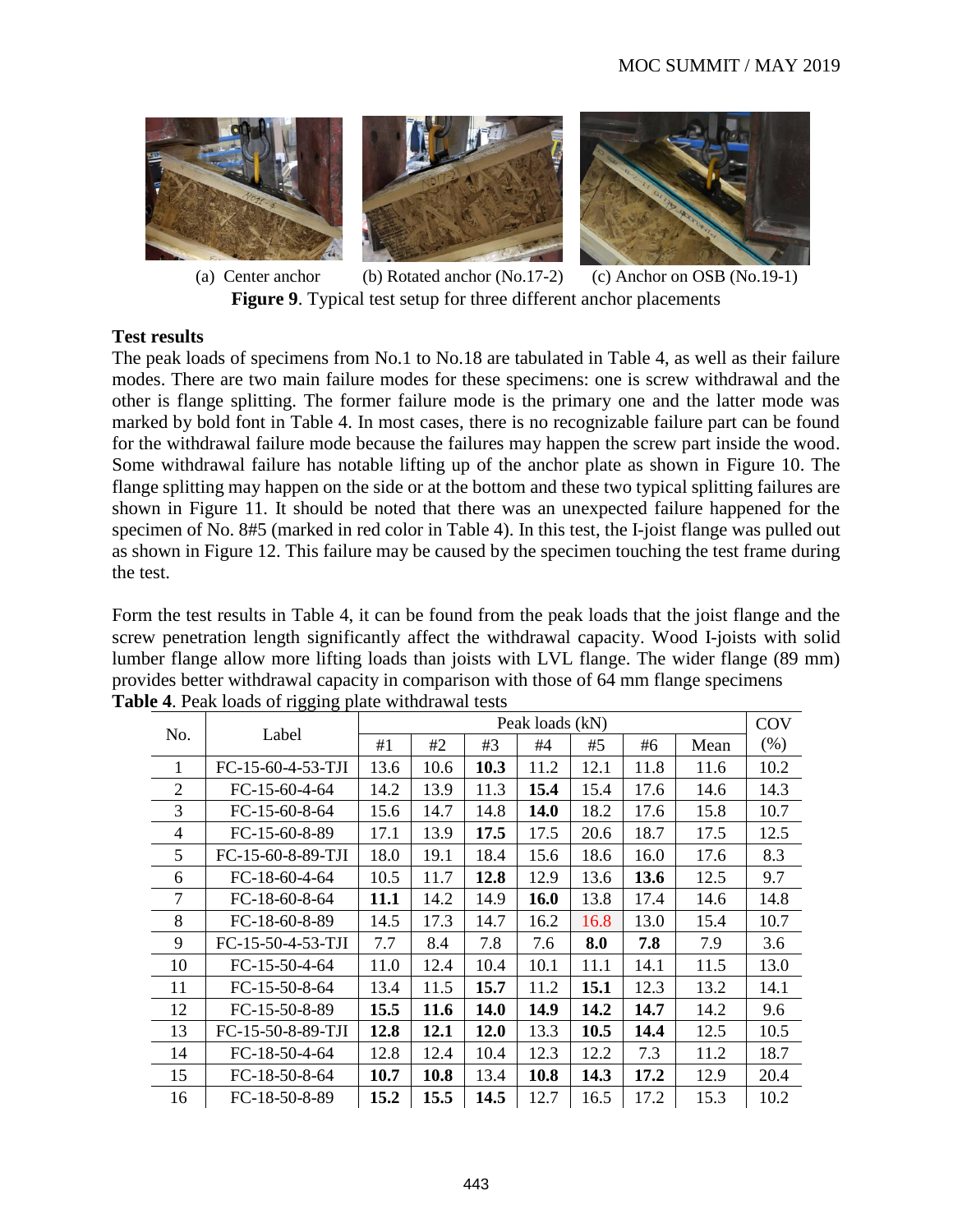

(a) Center anchor Figure 9. Typical test setup for three different anchor placements (b) Rotated anchor (No.17-2) (c) Anchor on OSB (No.19-1)

#### **Test results**

The peak loads of specimens from No.1 to No.18 are tabulated in [Table 4,](#page-6-0) as well as their failure modes. There are two main failure modes for these specimens: one is screw withdrawal and the other is flange splitting. The former failure mode is the primary one and the latter mode was marked by bold font in [Table 4.](#page-6-0) In most cases, there is no recognizable failure part can be found for the withdrawal failure mode because the failures may happen the screw part inside the wood. Some withdrawal failure has notable lifting up of the anchor plate as shown in [Figure 10.](#page--1-4) The flange splitting may happen on the side or at the bottom and these two typical splitting failures are shown in [Figure 11.](#page--1-5) It should be noted that there was an unexpected failure happened for the specimen of No. 8#5 (marked in red color in [Table 4\)](#page-6-0). In this test, the I-joist flange was pulled out as shown in [Figure 12.](#page--1-6) This failure may be caused by the specimen touching the test frame during the test.

Form the test results in [Table 4,](#page-6-0) it can be found from the peak loads that the joist flange and the screw penetration length significantly affect the withdrawal capacity. Wood I-joists with solid lumber flange allow more lifting loads than joists with LVL flange. The wider flange (89 mm) provides better withdrawal capacity in comparison with those of 64 mm flange specimens **Table 4**. Peak loads of rigging plate withdrawal tests

<span id="page-6-0"></span>

|                |                   |             |      |             | Peak loads (kN) |      |      |      | <b>COV</b> |
|----------------|-------------------|-------------|------|-------------|-----------------|------|------|------|------------|
| No.            | Label             | #1          | #2   | #3          | #4              | #5   | #6   | Mean | (% )       |
| 1              | FC-15-60-4-53-TJI | 13.6        | 10.6 | 10.3        | 11.2            | 12.1 | 11.8 | 11.6 | 10.2       |
| $\overline{2}$ | $FC-15-60-4-64$   | 14.2        | 13.9 | 11.3        | 15.4            | 15.4 | 17.6 | 14.6 | 14.3       |
| 3              | FC-15-60-8-64     | 15.6        | 14.7 | 14.8        | <b>14.0</b>     | 18.2 | 17.6 | 15.8 | 10.7       |
| 4              | FC-15-60-8-89     | 17.1        | 13.9 | 17.5        | 17.5            | 20.6 | 18.7 | 17.5 | 12.5       |
| 5              | FC-15-60-8-89-TJI | 18.0        | 19.1 | 18.4        | 15.6            | 18.6 | 16.0 | 17.6 | 8.3        |
| 6              | FC-18-60-4-64     | 10.5        | 11.7 | 12.8        | 12.9            | 13.6 | 13.6 | 12.5 | 9.7        |
| 7              | FC-18-60-8-64     | <b>11.1</b> | 14.2 | 14.9        | 16.0            | 13.8 | 17.4 | 14.6 | 14.8       |
| 8              | $FC-18-60-8-89$   | 14.5        | 17.3 | 14.7        | 16.2            | 16.8 | 13.0 | 15.4 | 10.7       |
| 9              | FC-15-50-4-53-TJI | 7.7         | 8.4  | 7.8         | 7.6             | 8.0  | 7.8  | 7.9  | 3.6        |
| 10             | $FC-15-50-4-64$   | 11.0        | 12.4 | 10.4        | 10.1            | 11.1 | 14.1 | 11.5 | 13.0       |
| 11             | $FC-15-50-8-64$   | 13.4        | 11.5 | 15.7        | 11.2            | 15.1 | 12.3 | 13.2 | 14.1       |
| 12             | $FC-15-50-8-89$   | 15.5        | 11.6 | 14.0        | 14.9            | 14.2 | 14.7 | 14.2 | 9.6        |
| 13             | FC-15-50-8-89-TJI | 12.8        | 12.1 | <b>12.0</b> | 13.3            | 10.5 | 14.4 | 12.5 | 10.5       |
| 14             | $FC-18-50-4-64$   | 12.8        | 12.4 | 10.4        | 12.3            | 12.2 | 7.3  | 11.2 | 18.7       |
| 15             | $FC-18-50-8-64$   | 10.7        | 10.8 | 13.4        | 10.8            | 14.3 | 17.2 | 12.9 | 20.4       |
| 16             | FC-18-50-8-89     | 15.2        | 15.5 | 14.5        | 12.7            | 16.5 | 17.2 | 15.3 | 10.2       |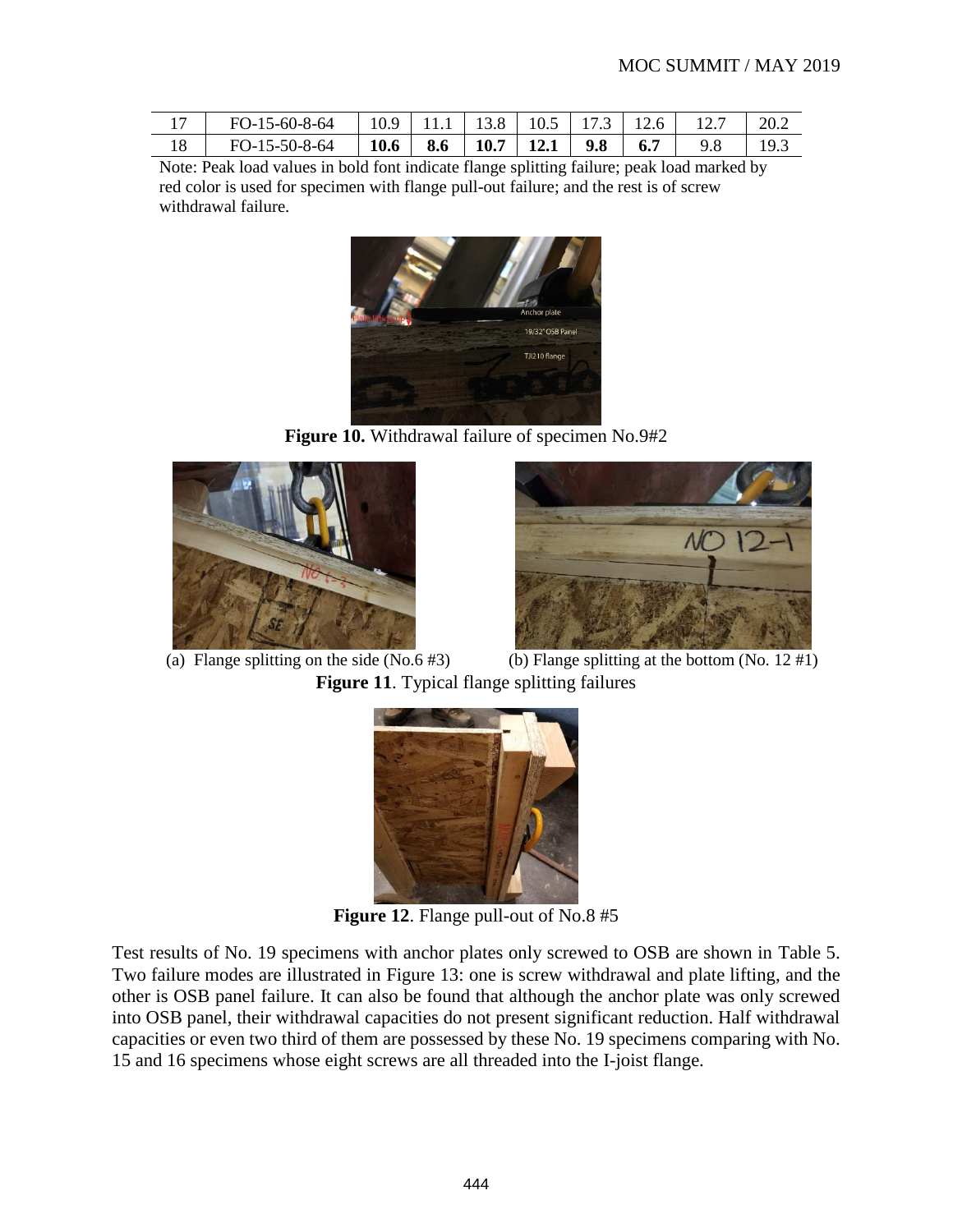|    | FO-15-60-8-64   10.9   11.1   13.8   10.5   17.3   12.6 |  |                                                |  |     | 20.2 |
|----|---------------------------------------------------------|--|------------------------------------------------|--|-----|------|
| 18 | FO-15-50-8-64                                           |  | $\vert$   10.6   8.6   10.7   12.1   9.8   6.7 |  | 9.8 | 19.  |

Note: Peak load values in bold font indicate flange splitting failure; peak load marked by red color is used for specimen with flange pull-out failure; and the rest is of screw withdrawal failure.



**Figure 10.** Withdrawal failure of specimen No.9#2





(a) Flange splitting on the side  $(No.6 \# 3)$  (b) Flange splitting at the bottom  $(No. 12 \# 1)$ **Figure 11**. Typical flange splitting failures



**Figure 12**. Flange pull-out of No.8 #5

Test results of No. 19 specimens with anchor plates only screwed to OSB are shown in [Table 5.](#page--1-1) Two failure modes are illustrated in [Figure 13:](#page--1-7) one is screw withdrawal and plate lifting, and the other is OSB panel failure. It can also be found that although the anchor plate was only screwed into OSB panel, their withdrawal capacities do not present significant reduction. Half withdrawal capacities or even two third of them are possessed by these No. 19 specimens comparing with No. 15 and 16 specimens whose eight screws are all threaded into the I-joist flange.